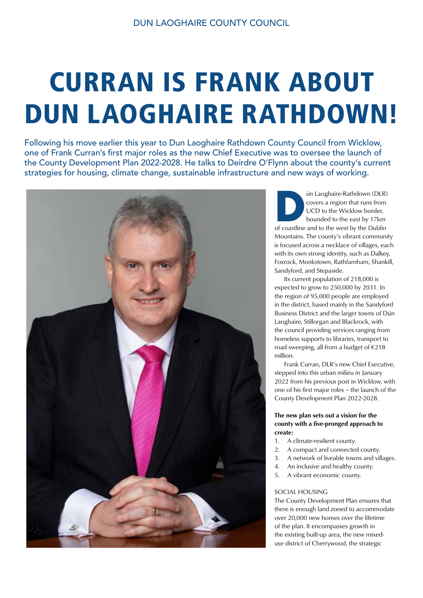# CURRAN IS FRANK ABOUT DUN LAOGHAIRE RATHDOWN!

Following his move earlier this year to Dun Laoghaire Rathdown County Council from Wicklow, one of Frank Curran's first major roles as the new Chief Executive was to oversee the launch of the County Development Plan 2022-2028. He talks to Deirdre O'Flynn about the county's current strategies for housing, climate change, sustainable infrastructure and new ways of working.



**DER)**<br>
of coastline and to the Wicklow border,<br>
bounded to the east by 17km<br>
of coastline and to the west by the Dublin covers a region that runs from UCD to the Wicklow border, bounded to the east by 17km Mountains. The county's vibrant community is focused across a necklace of villages, each with its own strong identity, such as Dalkey, Foxrock, Monkstown, Rathfarnham, Shankill, Sandyford, and Stepaside.

 Its current population of 218,000 is expected to grow to 250,000 by 2031. In the region of 95,000 people are employed in the district, based mainly in the Sandyford Business District and the larger towns of Dún Laoghaire, Stillorgan and Blackrock, with the council providing services ranging from homeless supports to libraries, transport to road sweeping, all from a budget of  $\epsilon$ 218 million.

 Frank Curran, DLR's new Chief Executive, stepped into this urban milieu in January 2022 from his previous post in Wicklow, with one of his first major roles – the launch of the County Development Plan 2022-2028.

## The new plan sets out a vision for the county with a five-pronged approach to create:

- 1. A climate-resilient county.
- 2. A compact and connected county.
- 3. A network of liveable towns and villages.
- 4. An inclusive and healthy county.
- 5. A vibrant economic county.

## SOCIAL HOUSING

The County Development Plan ensures that there is enough land zoned to accommodate over 20,000 new homes over the lifetime of the plan. It encompasses growth in the existing built-up area, the new mixeduse district of Cherrywood, the strategic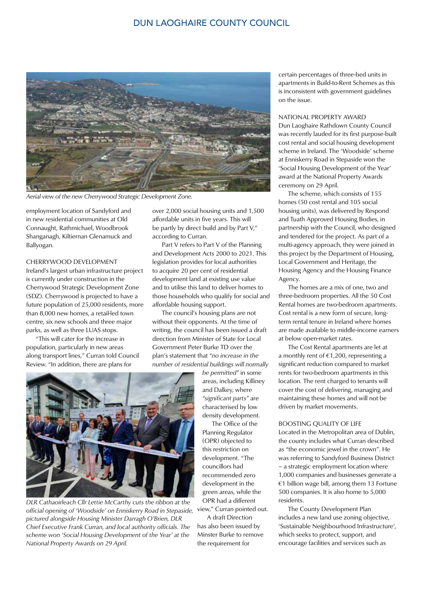# DUN LAOGHAIRE COUNTY COUNCIL



*Aerial view of the new Cherrywood Strategic Development Zone.* 

employment location of Sandyford and in new residential communities at Old Connaught, Rathmichael, Woodbrook Shanganagh, Kiltiernan Glenamuck and Ballyogan.

## CHERRYWOOD DEVELOPMENT

Ireland's largest urban infrastructure project is currently under construction in the Cherrywood Strategic Development Zone (SDZ). Cherrywood is projected to have a future population of 25,000 residents, more than 8,000 new homes, a retail-led town centre, six new schools and three major parks, as well as three LUAS stops.

 "This will cater for the increase in population, particularly in new areas along transport lines," Curran told Council Review. "In addition, there are plans for

over 2,000 social housing units and 1,500 affordable units in five years. This will be partly by direct build and by Part V," according to Curran.

 Part V refers to Part V of the Planning and Development Acts 2000 to 2021. This legislation provides for local authorities to acquire 20 per cent of residential development land at existing use value and to utilise this land to deliver homes to those households who qualify for social and affordable housing support.

 The council's housing plans are not without their opponents. At the time of writing, the council has been issued a draft direction from Minister of State for Local Government Peter Burke TD over the plan's statement that *"no increase in the number of residential buildings will normally* 

*be permitted"* in some areas, including Killiney and Dalkey, where *"significant parts"* are characterised by low density development.

 The Office of the Planning Regulator (OPR) objected to this restriction on development. "The councillors had recommended zero development in the green areas, while the OPR had a different

 A draft Direction has also been issued by Minster Burke to remove the requirement for

certain percentages of three-bed units in apartments in Build-to-Rent Schemes as this is inconsistent with government guidelines on the issue.

#### NATIONAL PROPERTY AWARD

Dun Laoghaire Rathdown County Council was recently lauded for its first purpose-built cost rental and social housing development scheme in Ireland. The 'Woodside' scheme at Enniskerry Road in Stepaside won the 'Social Housing Development of the Year' award at the National Property Awards ceremony on 29 April.

 The scheme, which consists of 155 homes (50 cost rental and 105 social housing units), was delivered by Respond and Tuath Approved Housing Bodies, in partnership with the Council, who designed and tendered for the project. As part of a multi-agency approach, they were joined in this project by the Department of Housing, Local Government and Heritage, the Housing Agency and the Housing Finance Agency.

 The homes are a mix of one, two and three-bedroom properties. All the 50 Cost Rental homes are two-bedroom apartments. Cost rental is a new form of secure, longterm rental tenure in Ireland where homes are made available to middle-income earners at below open-market rates.

 The Cost Rental apartments are let at a monthly rent of €1,200, representing a significant reduction compared to market rents for two-bedroom apartments in this location. The rent charged to tenants will cover the cost of delivering, managing and maintaining these homes and will not be driven by market movements.

# BOOSTING QUALITY OF LIFE

Located in the Metropolitan area of Dublin, the county includes what Curran described as "the economic jewel in the crown". He was referring to Sandyford Business District – a strategic employment location where 1,000 companies and businesses generate a €1 billion wage bill, among them 13 Fortune 500 companies. It is also home to 5,000 residents.

 The County Development Plan includes a new land use zoning objective, 'Sustainable Neighbourhood Infrastructure', which seeks to protect, support, and encourage facilities and services such as



official opening of *'Woodside' on Enniskerry Road in Stepaside, <sup>view," Curran pointed out.*</sup> *DLR Cathaoirleach Cllr Lettie McCarthy cuts the ribbon at the pictured alongside Housing Minister Darragh O'Brien, DLR Chief Executive Frank Curran, and local authority officials. The scheme won 'Social Housing Development of the Year' at the National Property Awards on 29 April.*